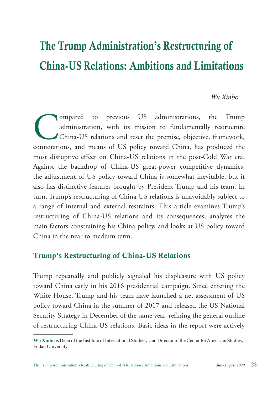# The Trump Administration**'**s Restructuring of China-US Relations: Ambitions and Limitations

*Wu Xinbo*

Compared to previous US administrations, the Trump administration, with its mission to fundamentally restructure<br>China-US relations and reset the premise, objective, framework, connotations, and means of US policy toward C administration, with its mission to fundamentally restructure China-US relations and reset the premise, objective, framework, connotations, and means of US policy toward China, has produced the most disruptive effect on China-US relations in the post-Cold War era. Against the backdrop of China-US great-power competitive dynamics, the adjustment of US policy toward China is somewhat inevitable, but it also has distinctive features brought by President Trump and his team. In turn, Trump's restructuring of China-US relations is unavoidably subject to a range of internal and external restraints. This article examines Trump's restructuring of China-US relations and its consequences, analyzes the main factors constraining his China policy, and looks at US policy toward China in the near to medium term.

## Trump's Restructuring of China-US Relations

Trump repeatedly and publicly signaled his displeasure with US policy toward China early in his 2016 presidential campaign. Since entering the White House, Trump and his team have launched a net assessment of US policy toward China in the summer of 2017 and released the US National Security Strategy in December of the same year, refining the general outline of restructuring China-US relations. Basic ideas in the report were actively

**Wu Xinbo** is Dean of the Institute of International Studies, and Director of the Center for American Studies, Fudan University.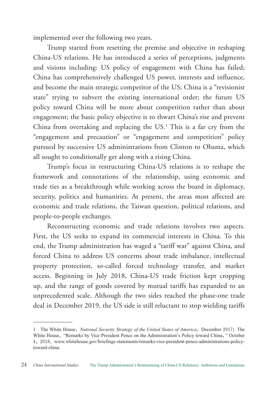implemented over the following two years.

Trump started from resetting the premise and objective in reshaping China-US relations. He has introduced a series of perceptions, judgments and visions including: US policy of engagement with China has failed; China has comprehensively challenged US power, interests and influence, and become the main strategic competitor of the US; China is a "revisionist state" trying to subvert the existing international order; the future US policy toward China will be more about competition rather than about engagement; the basic policy objective is to thwart China's rise and prevent China from overtaking and replacing the  $US<sup>1</sup>$ . This is a far cry from the "engagement and precaution" or "engagement and competition" policy pursued by successive US administrations from Clinton to Obama, which all sought to conditionally get along with a rising China.

Trump's focus in restructuring China-US relations is to reshape the framework and connotations of the relationship, using economic and trade ties as a breakthrough while working across the board in diplomacy, security, politics and humanities. At present, the areas most affected are economic and trade relations, the Taiwan question, political relations, and people-to-people exchanges.

Reconstructing economic and trade relations involves two aspects. First, the US seeks to expand its commercial interests in China. To this end, the Trump administration has waged a "tariff war" against China, and forced China to address US concerns about trade imbalance, intellectual property protection, so-called forced technology transfer, and market access. Beginning in July 2018, China-US trade friction kept cropping up, and the range of goods covered by mutual tariffs has expanded to an unprecedented scale. Although the two sides reached the phase-one trade deal in December 2019, the US side is still reluctant to stop wielding tariffs

<sup>1</sup> The White House, *National Security Strategy of the United States of America*, December 2017; The White House, "Remarks by Vice President Pence on the Administration's Policy toward China," October 4, 2018, www.whitehouse.gov/briefings-statements/remarks-vice-president-pence-administrations-policytoward-china.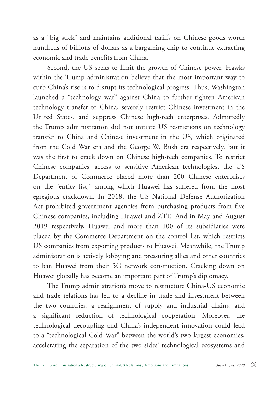as a "big stick" and maintains additional tariffs on Chinese goods worth hundreds of billions of dollars as a bargaining chip to continue extracting economic and trade benefits from China.

Second, the US seeks to limit the growth of Chinese power. Hawks within the Trump administration believe that the most important way to curb China's rise is to disrupt its technological progress. Thus, Washington launched a "technology war" against China to further tighten American technology transfer to China, severely restrict Chinese investment in the United States, and suppress Chinese high-tech enterprises. Admittedly the Trump administration did not initiate US restrictions on technology transfer to China and Chinese investment in the US, which originated from the Cold War era and the George W. Bush era respectively, but it was the first to crack down on Chinese high-tech companies. To restrict Chinese companies' access to sensitive American technologies, the US Department of Commerce placed more than 200 Chinese enterprises on the "entity list," among which Huawei has suffered from the most egregious crackdown. In 2018, the US National Defense Authorization Act prohibited government agencies from purchasing products from five Chinese companies, including Huawei and ZTE. And in May and August 2019 respectively, Huawei and more than 100 of its subsidiaries were placed by the Commerce Department on the control list, which restricts US companies from exporting products to Huawei. Meanwhile, the Trump administration is actively lobbying and pressuring allies and other countries to ban Huawei from their 5G network construction. Cracking down on Huawei globally has become an important part of Trump's diplomacy.

The Trump administration's move to restructure China-US economic and trade relations has led to a decline in trade and investment between the two countries, a realignment of supply and industrial chains, and a significant reduction of technological cooperation. Moreover, the technological decoupling and China's independent innovation could lead to a "technological Cold War" between the world's two largest economies, accelerating the separation of the two sides' technological ecosystems and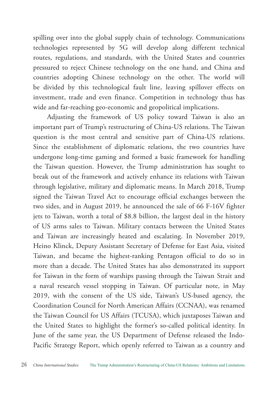spilling over into the global supply chain of technology. Communications technologies represented by 5G will develop along different technical routes, regulations, and standards, with the United States and countries pressured to reject Chinese technology on the one hand, and China and countries adopting Chinese technology on the other. The world will be divided by this technological fault line, leaving spillover effects on investment, trade and even finance. Competition in technology thus has wide and far-reaching geo-economic and geopolitical implications.

Adjusting the framework of US policy toward Taiwan is also an important part of Trump's restructuring of China-US relations. The Taiwan question is the most central and sensitive part of China-US relations. Since the establishment of diplomatic relations, the two countries have undergone long-time gaming and formed a basic framework for handling the Taiwan question. However, the Trump administration has sought to break out of the framework and actively enhance its relations with Taiwan through legislative, military and diplomatic means. In March 2018, Trump signed the Taiwan Travel Act to encourage official exchanges between the two sides, and in August 2019, he announced the sale of 66 F-16V fighter jets to Taiwan, worth a total of \$8.8 billion, the largest deal in the history of US arms sales to Taiwan. Military contacts between the United States and Taiwan are increasingly heated and escalating. In November 2019, Heino Klinck, Deputy Assistant Secretary of Defense for East Asia, visited Taiwan, and became the highest-ranking Pentagon official to do so in more than a decade. The United States has also demonstrated its support for Taiwan in the form of warships passing through the Taiwan Strait and a naval research vessel stopping in Taiwan. Of particular note, in May 2019, with the consent of the US side, Taiwan's US-based agency, the Coordination Council for North American Affairs (CCNAA), was renamed the Taiwan Council for US Affairs (TCUSA), which juxtaposes Taiwan and the United States to highlight the former's so-called political identity. In June of the same year, the US Department of Defense released the Indo-Pacific Strategy Report, which openly referred to Taiwan as a country and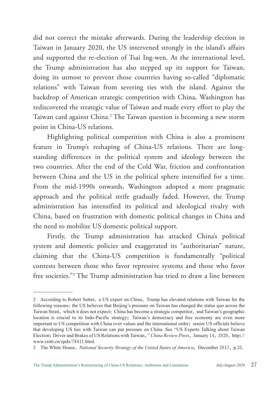did not correct the mistake afterwards. During the leadership election in Taiwan in January 2020, the US intervened strongly in the island's affairs and supported the re-election of Tsai Ing-wen. At the international level, the Trump administration has also stepped up its support for Taiwan, doing its utmost to prevent those countries having so-called "diplomatic relations" with Taiwan from severing ties with the island. Against the backdrop of American strategic competition with China, Washington has rediscovered the strategic value of Taiwan and made every effort to play the Taiwan card against China.<sup>2</sup> The Taiwan question is becoming a new storm point in China-US relations.

Highlighting political competition with China is also a prominent feature in Trump's reshaping of China-US relations. There are longstanding differences in the political system and ideology between the two countries. After the end of the Cold War, friction and confrontation between China and the US in the political sphere intensified for a time. From the mid-1990s onwards, Washington adopted a more pragmatic approach and the political strife gradually faded. However, the Trump administration has intensified its political and ideological rivalry with China, based on frustration with domestic political changes in China and the need to mobilize US domestic political support.

Firstly, the Trump administration has attacked China's political system and domestic policies and exaggerated its "authoritarian" nature, claiming that the China-US competition is fundamentally "political contests between those who favor repressive systems and those who favor free societies."3 The Trump administration has tried to draw a line between

<sup>2</sup> According to Robert Sutter, a US expert on China, Trump has elevated relations with Taiwan for the following reasons: the US believes that Beijing's pressure on Taiwan has changed the status quo across the Taiwan Strait, which it does not expect; China has become a strategic competitor, and Taiwan's geographic location is crucial to its Indo-Pacific strategy; Taiwan's democracy and free economy are even more important to US competition with China over values and the international order; senior US officials believe that developing US ties with Taiwan can put pressure on China. See "US Experts Talking about Taiwan Election: Driver and Brakes of US Relations with Taiwan," *China Review Press*, January 14, 2020, http:// www.crntt.cn/zpdx/78411.html.

<sup>3</sup> The White House, *National Security Strategy of the United States of America*, December 2017, p.25.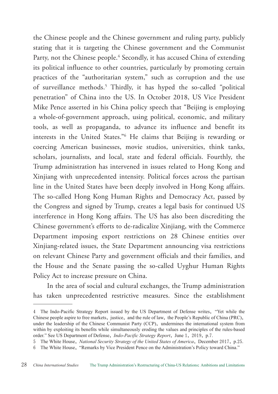the Chinese people and the Chinese government and ruling party, publicly stating that it is targeting the Chinese government and the Communist Party, not the Chinese people.<sup>4</sup> Secondly, it has accused China of extending its political influence to other countries, particularly by promoting certain practices of the "authoritarian system," such as corruption and the use of surveillance methods.5 Thirdly, it has hyped the so-called "political penetration" of China into the US. In October 2018, US Vice President Mike Pence asserted in his China policy speech that "Beijing is employing a whole-of-government approach, using political, economic, and military tools, as well as propaganda, to advance its influence and benefit its interests in the United States."6 He claims that Beijing is rewarding or coercing American businesses, movie studios, universities, think tanks, scholars, journalists, and local, state and federal officials. Fourthly, the Trump administration has intervened in issues related to Hong Kong and Xinjiang with unprecedented intensity. Political forces across the partisan line in the United States have been deeply involved in Hong Kong affairs. The so-called Hong Kong Human Rights and Democracy Act, passed by the Congress and signed by Trump, creates a legal basis for continued US interference in Hong Kong affairs. The US has also been discrediting the Chinese government's efforts to de-radicalize Xinjiang, with the Commerce Department imposing export restrictions on 28 Chinese entities over Xinjiang-related issues, the State Department announcing visa restrictions on relevant Chinese Party and government officials and their families, and the House and the Senate passing the so-called Uyghur Human Rights Policy Act to increase pressure on China.

In the area of social and cultural exchanges, the Trump administration has taken unprecedented restrictive measures. Since the establishment

<sup>4</sup> The Indo-Pacific Strategy Report issued by the US Department of Defense writes, "Yet while the Chinese people aspire to free markets, justice, and the rule of law, the People's Republic of China (PRC), under the leadership of the Chinese Communist Party (CCP), undermines the international system from within by exploiting its benefits while simultaneously eroding the values and principles of the rules-based order." See US Department of Defense, *Indo-Pacific Strategy Report*, June 1, 2019, p.7.

<sup>5</sup> The White House, *National Security Strategy of the United States of America*, December 2017, p.25.

<sup>6</sup> The White House, "Remarks by Vice President Pence on the Administration's Policy toward China."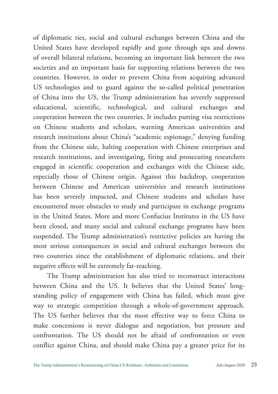of diplomatic ties, social and cultural exchanges between China and the United States have developed rapidly and gone through ups and downs of overall bilateral relations, becoming an important link between the two societies and an important basis for supporting relations between the two countries. However, in order to prevent China from acquiring advanced US technologies and to guard against the so-called political penetration of China into the US, the Trump administration has severely suppressed educational, scientific, technological, and cultural exchanges and cooperation between the two countries. It includes putting visa restrictions on Chinese students and scholars, warning American universities and research institutions about China's "academic espionage," denying funding from the Chinese side, halting cooperation with Chinese enterprises and research institutions, and investigating, firing and prosecuting researchers engaged in scientific cooperation and exchanges with the Chinese side, especially those of Chinese origin. Against this backdrop, cooperation between Chinese and American universities and research institutions has been severely impacted, and Chinese students and scholars have encountered more obstacles to study and participate in exchange programs in the United States. More and more Confucius Institutes in the US have been closed, and many social and cultural exchange programs have been suspended. The Trump administration's restrictive policies are having the most serious consequences in social and cultural exchanges between the two countries since the establishment of diplomatic relations, and their negative effects will be extremely far-reaching.

The Trump administration has also tried to reconstruct interactions between China and the US. It believes that the United States' longstanding policy of engagement with China has failed, which must give way to strategic competition through a whole-of-government approach. The US further believes that the most effective way to force China to make concessions is never dialogue and negotiation, but pressure and confrontation. The US should not be afraid of confrontation or even conflict against China, and should make China pay a greater price for its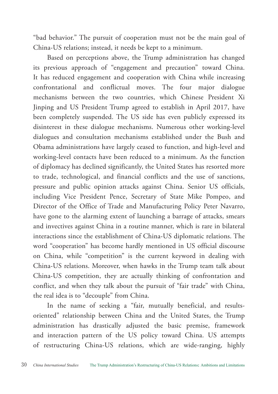"bad behavior." The pursuit of cooperation must not be the main goal of China-US relations; instead, it needs be kept to a minimum.

Based on perceptions above, the Trump administration has changed its previous approach of "engagement and precaution" toward China. It has reduced engagement and cooperation with China while increasing confrontational and conflictual moves. The four major dialogue mechanisms between the two countries, which Chinese President Xi Jinping and US President Trump agreed to establish in April 2017, have been completely suspended. The US side has even publicly expressed its disinterest in these dialogue mechanisms. Numerous other working-level dialogues and consultation mechanisms established under the Bush and Obama administrations have largely ceased to function, and high-level and working-level contacts have been reduced to a minimum. As the function of diplomacy has declined significantly, the United States has resorted more to trade, technological, and financial conflicts and the use of sanctions, pressure and public opinion attacks against China. Senior US officials, including Vice President Pence, Secretary of State Mike Pompeo, and Director of the Office of Trade and Manufacturing Policy Peter Navarro, have gone to the alarming extent of launching a barrage of attacks, smears and invectives against China in a routine manner, which is rare in bilateral interactions since the establishment of China-US diplomatic relations. The word "cooperation" has become hardly mentioned in US official discourse on China, while "competition" is the current keyword in dealing with China-US relations. Moreover, when hawks in the Trump team talk about China-US competition, they are actually thinking of confrontation and conflict, and when they talk about the pursuit of "fair trade" with China, the real idea is to "decouple" from China.

In the name of seeking a "fair, mutually beneficial, and resultsoriented" relationship between China and the United States, the Trump administration has drastically adjusted the basic premise, framework and interaction pattern of the US policy toward China. US attempts of restructuring China-US relations, which are wide-ranging, highly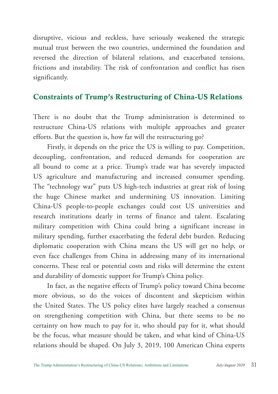disruptive, vicious and reckless, have seriously weakened the strategic mutual trust between the two countries, undermined the foundation and reversed the direction of bilateral relations, and exacerbated tensions, frictions and instability. The risk of confrontation and conflict has risen significantly.

### Constraints of Trump's Restructuring of China-US Relations

There is no doubt that the Trump administration is determined to restructure China-US relations with multiple approaches and greater efforts. But the question is, how far will the restructuring go?

Firstly, it depends on the price the US is willing to pay. Competition, decoupling, confrontation, and reduced demands for cooperation are all bound to come at a price. Trump's trade war has severely impacted US agriculture and manufacturing and increased consumer spending. The "technology war" puts US high-tech industries at great risk of losing the huge Chinese market and undermining US innovation. Limiting China-US people-to-people exchanges could cost US universities and research institutions dearly in terms of finance and talent. Escalating military competition with China could bring a significant increase in military spending, further exacerbating the federal debt burden. Reducing diplomatic cooperation with China means the US will get no help, or even face challenges from China in addressing many of its international concerns. These real or potential costs and risks will determine the extent and durability of domestic support for Trump's China policy.

In fact, as the negative effects of Trump's policy toward China become more obvious, so do the voices of discontent and skepticism within the United States. The US policy elites have largely reached a consensus on strengthening competition with China, but there seems to be no certainty on how much to pay for it, who should pay for it, what should be the focus, what measure should be taken, and what kind of China-US relations should be shaped. On July 3, 2019, 100 American China experts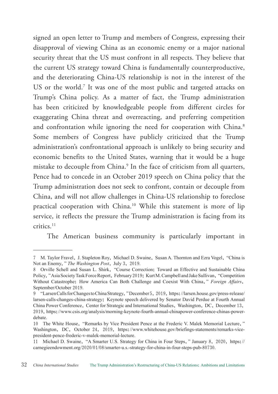signed an open letter to Trump and members of Congress, expressing their disapproval of viewing China as an economic enemy or a major national security threat that the US must confront in all respects. They believe that the current US strategy toward China is fundamentally counterproductive, and the deteriorating China-US relationship is not in the interest of the US or the world.<sup>7</sup> It was one of the most public and targeted attacks on Trump's China policy. As a matter of fact, the Trump administration has been criticized by knowledgeable people from different circles for exaggerating China threat and overreacting, and preferring competition and confrontation while ignoring the need for cooperation with China.<sup>8</sup> Some members of Congress have publicly criticized that the Trump administration's confrontational approach is unlikely to bring security and economic benefits to the United States, warning that it would be a huge mistake to decouple from China.9 In the face of criticism from all quarters, Pence had to concede in an October 2019 speech on China policy that the Trump administration does not seek to confront, contain or decouple from China, and will not allow challenges in China-US relationship to foreclose practical cooperation with China.<sup>10</sup> While this statement is more of lip service, it reflects the pressure the Trump administration is facing from its critics.<sup>11</sup>

The American business community is particularly important in

<sup>7</sup> M. Taylor Fravel, J. Stapleton Roy, Michael D. Swaine, Susan A. Thornton and Ezra Vogel, "China is Not an Enemy," *The Washington Post*, July 3, 2019.

<sup>8</sup> Orville Schell and Susan L. Shirk, "Course Correction: Toward an Effective and Sustainable China Policy," Asia Society Task Force Report, February 2019; Kurt M. Campbell and Jake Sullivan, "Competition Without Catastrophe: How America Can Both Challenge and Coexist With China," *Foreign Affairs*, September/October 2019.

<sup>9</sup> "Larsen Calls for Changes to China Strategy," December 5, 2019, https://larsen.house.gov/press-release/ larsen-calls-changes-china-strategy; Keynote speech delivered by Senator David Perdue at Fourth Annual China Power Conference, Center for Strategic and International Studies, Washington, DC, December 13, 2019, https://www.csis.org/analysis/morning-keynote-fourth-annual-chinapower-conference-chinas-powerdebate.

<sup>10</sup> The White House, "Remarks by Vice President Pence at the Frederic V. Malek Memorial Lecture," Washington, DC, October 24, 2019, https://www.whitehouse.gov/briefings-statements/remarks-vicepresident-pence-frederic-v-malek-memorial-lecture.

<sup>11</sup> Michael D. Swaine, "A Smarter U.S. Strategy for China in Four Steps," January 8, 2020, https:// carnegieendowment.org/2020/01/08/smarter-u.s.-strategy-for-china-in-four-steps-pub-80730.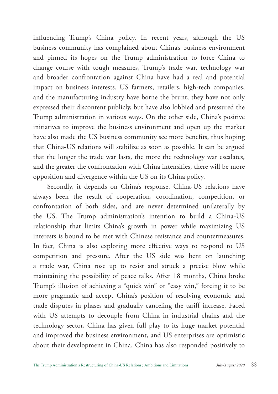influencing Trump's China policy. In recent years, although the US business community has complained about China's business environment and pinned its hopes on the Trump administration to force China to change course with tough measures, Trump's trade war, technology war and broader confrontation against China have had a real and potential impact on business interests. US farmers, retailers, high-tech companies, and the manufacturing industry have borne the brunt; they have not only expressed their discontent publicly, but have also lobbied and pressured the Trump administration in various ways. On the other side, China's positive initiatives to improve the business environment and open up the market have also made the US business community see more benefits, thus hoping that China-US relations will stabilize as soon as possible. It can be argued that the longer the trade war lasts, the more the technology war escalates, and the greater the confrontation with China intensifies, there will be more opposition and divergence within the US on its China policy.

Secondly, it depends on China's response. China-US relations have always been the result of cooperation, coordination, competition, or confrontation of both sides, and are never determined unilaterally by the US. The Trump administration's intention to build a China-US relationship that limits China's growth in power while maximizing US interests is bound to be met with Chinese resistance and countermeasures. In fact, China is also exploring more effective ways to respond to US competition and pressure. After the US side was bent on launching a trade war, China rose up to resist and struck a precise blow while maintaining the possibility of peace talks. After 18 months, China broke Trump's illusion of achieving a "quick win" or "easy win," forcing it to be more pragmatic and accept China's position of resolving economic and trade disputes in phases and gradually canceling the tariff increase. Faced with US attempts to decouple from China in industrial chains and the technology sector, China has given full play to its huge market potential and improved the business environment, and US enterprises are optimistic about their development in China. China has also responded positively to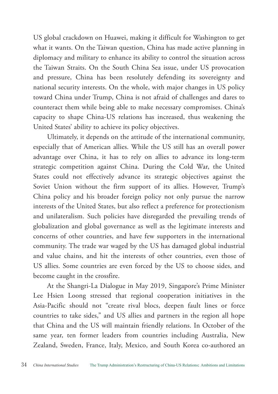US global crackdown on Huawei, making it difficult for Washington to get what it wants. On the Taiwan question, China has made active planning in diplomacy and military to enhance its ability to control the situation across the Taiwan Straits. On the South China Sea issue, under US provocation and pressure, China has been resolutely defending its sovereignty and national security interests. On the whole, with major changes in US policy toward China under Trump, China is not afraid of challenges and dares to counteract them while being able to make necessary compromises. China's capacity to shape China-US relations has increased, thus weakening the United States' ability to achieve its policy objectives.

Ultimately, it depends on the attitude of the international community, especially that of American allies. While the US still has an overall power advantage over China, it has to rely on allies to advance its long-term strategic competition against China. During the Cold War, the United States could not effectively advance its strategic objectives against the Soviet Union without the firm support of its allies. However, Trump's China policy and his broader foreign policy not only pursue the narrow interests of the United States, but also reflect a preference for protectionism and unilateralism. Such policies have disregarded the prevailing trends of globalization and global governance as well as the legitimate interests and concerns of other countries, and have few supporters in the international community. The trade war waged by the US has damaged global industrial and value chains, and hit the interests of other countries, even those of US allies. Some countries are even forced by the US to choose sides, and become caught in the crossfire.

At the Shangri-La Dialogue in May 2019, Singapore's Prime Minister Lee Hsien Loong stressed that regional cooperation initiatives in the Asia-Pacific should not "create rival blocs, deepen fault lines or force countries to take sides," and US allies and partners in the region all hope that China and the US will maintain friendly relations. In October of the same year, ten former leaders from countries including Australia, New Zealand, Sweden, France, Italy, Mexico, and South Korea co-authored an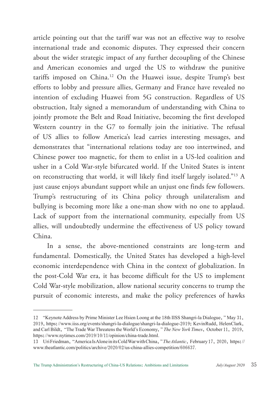article pointing out that the tariff war was not an effective way to resolve international trade and economic disputes. They expressed their concern about the wider strategic impact of any further decoupling of the Chinese and American economies and urged the US to withdraw the punitive tariffs imposed on China.12 On the Huawei issue, despite Trump's best efforts to lobby and pressure allies, Germany and France have revealed no intention of excluding Huawei from 5G construction. Regardless of US obstruction, Italy signed a memorandum of understanding with China to jointly promote the Belt and Road Initiative, becoming the first developed Western country in the G7 to formally join the initiative. The refusal of US allies to follow America's lead carries interesting messages, and demonstrates that "international relations today are too intertwined, and Chinese power too magnetic, for them to enlist in a US-led coalition and usher in a Cold War-style bifurcated world. If the United States is intent on reconstructing that world, it will likely find itself largely isolated."13 A just cause enjoys abundant support while an unjust one finds few followers. Trump's restructuring of its China policy through unilateralism and bullying is becoming more like a one-man show with no one to applaud. Lack of support from the international community, especially from US allies, will undoubtedly undermine the effectiveness of US policy toward China.

In a sense, the above-mentioned constraints are long-term and fundamental. Domestically, the United States has developed a high-level economic interdependence with China in the context of globalization. In the post-Cold War era, it has become difficult for the US to implement Cold War-style mobilization, allow national security concerns to trump the pursuit of economic interests, and make the policy preferences of hawks

<sup>12</sup> "Keynote Address by Prime Minister Lee Hsien Loong at the 18th IISS Shangri-la Dialogue," May 31, 2019, https://www.iiss.org/events/shangri-la-dialogue/shangri-la-dialogue-2019; Kevin Rudd, Helen Clark, and Carl Bildt, "The Trade War Threatens the World's Economy," *The New York Times*, October 11, 2019, https://www.nytimes.com/2019/10/11/opinion/china-trade.html.

<sup>13</sup> Uri Friedman, "America Is Alone in its Cold War with China," *The Atlantic*, February 17, 2020, https:// www.theatlantic.com/politics/archive/2020/02/us-china-allies-competition/606637.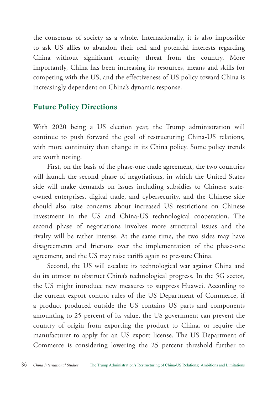the consensus of society as a whole. Internationally, it is also impossible to ask US allies to abandon their real and potential interests regarding China without significant security threat from the country. More importantly, China has been increasing its resources, means and skills for competing with the US, and the effectiveness of US policy toward China is increasingly dependent on China's dynamic response.

#### Future Policy Directions

With 2020 being a US election year, the Trump administration will continue to push forward the goal of restructuring China-US relations, with more continuity than change in its China policy. Some policy trends are worth noting.

First, on the basis of the phase-one trade agreement, the two countries will launch the second phase of negotiations, in which the United States side will make demands on issues including subsidies to Chinese stateowned enterprises, digital trade, and cybersecurity, and the Chinese side should also raise concerns about increased US restrictions on Chinese investment in the US and China-US technological cooperation. The second phase of negotiations involves more structural issues and the rivalry will be rather intense. At the same time, the two sides may have disagreements and frictions over the implementation of the phase-one agreement, and the US may raise tariffs again to pressure China.

Second, the US will escalate its technological war against China and do its utmost to obstruct China's technological progress. In the 5G sector, the US might introduce new measures to suppress Huawei. According to the current export control rules of the US Department of Commerce, if a product produced outside the US contains US parts and components amounting to 25 percent of its value, the US government can prevent the country of origin from exporting the product to China, or require the manufacturer to apply for an US export license. The US Department of Commerce is considering lowering the 25 percent threshold further to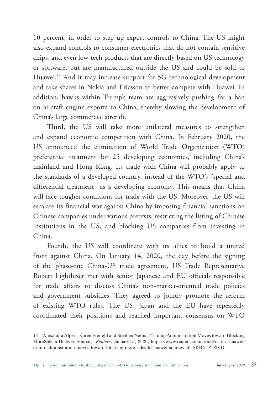10 percent, in order to step up export controls to China. The US might also expand controls to consumer electronics that do not contain sensitive chips, and even low-tech products that are directly based on US technology or software, but are manufactured outside the US and could be sold to Huawei.14 And it may increase support for 5G technological development and take shares in Nokia and Ericsson to better compete with Huawei. In addition, hawks within Trump's team are aggressively pushing for a ban on aircraft engine exports to China, thereby slowing the development of China's large commercial aircraft.

Third, the US will take more unilateral measures to strengthen and expand economic competition with China. In February 2020, the US announced the elimination of World Trade Organization (WTO) preferential treatment for 25 developing economies, including China's mainland and Hong Kong. Its trade with China will probably apply to the standards of a developed country, instead of the WTO's "special and differential treatment" as a developing economy. This means that China will face tougher conditions for trade with the US. Moreover, the US will escalate its financial war against China by imposing financial sanctions on Chinese companies under various pretexts, restricting the listing of Chinese institutions in the US, and blocking US companies from investing in China.

Fourth, the US will coordinate with its allies to build a united front against China. On January 14, 2020, the day before the signing of the phase-one China-US trade agreement, US Trade Representative Robert Lighthizer met with senior Japanese and EU officials responsible for trade affairs to discuss China's non-market-oriented trade policies and government subsidies. They agreed to jointly promote the reform of existing WTO rules. The US, Japan and the EU have repeatedly coordinated their positions and reached important consensus on WTO

<sup>14</sup> Alexandra Alper, Karen Freifeld and Stephen Nellis, "Trump Administration Moves toward Blocking More Sales to Huawei: Source," *Reuters*, January 15, 2020, https://www.reuters.com/article/us-usa-huawei/ trump-administration-moves-toward-blocking-more-sales-to-huawei-sources-idUSKBN1ZD2VD.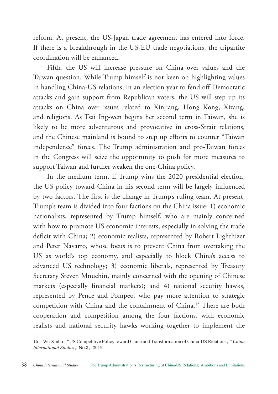reform. At present, the US-Japan trade agreement has entered into force. If there is a breakthrough in the US-EU trade negotiations, the tripartite coordination will be enhanced.

Fifth, the US will increase pressure on China over values and the Taiwan question. While Trump himself is not keen on highlighting values in handling China-US relations, in an election year to fend off Democratic attacks and gain support from Republican voters, the US will step up its attacks on China over issues related to Xinjiang, Hong Kong, Xizang, and religions. As Tsai Ing-wen begins her second term in Taiwan, she is likely to be more adventurous and provocative in cross-Strait relations, and the Chinese mainland is bound to step up efforts to counter "Taiwan independence" forces. The Trump administration and pro-Taiwan forces in the Congress will seize the opportunity to push for more measures to support Taiwan and further weaken the one-China policy.

In the medium term, if Trump wins the 2020 presidential election, the US policy toward China in his second term will be largely influenced by two factors. The first is the change in Trump's ruling team. At present, Trump's team is divided into four factions on the China issue: 1) economic nationalists, represented by Trump himself, who are mainly concerned with how to promote US economic interests, especially in solving the trade deficit with China; 2) economic realists, represented by Robert Lighthizer and Peter Navarro, whose focus is to prevent China from overtaking the US as world's top economy, and especially to block China's access to advanced US technology; 3) economic liberals, represented by Treasury Secretary Steven Mnuchin, mainly concerned with the opening of Chinese markets (especially financial markets); and 4) national security hawks, represented by Pence and Pompeo, who pay more attention to strategic competition with China and the containment of China.15 There are both cooperation and competition among the four factions, with economic realists and national security hawks working together to implement the

<sup>15</sup> Wu Xinbo, "US Competitive Policy toward China and Transformation of China-US Relations," *China International Studies*, No.3, 2019.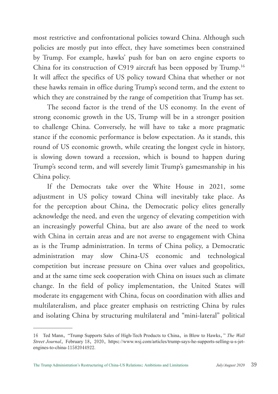most restrictive and confrontational policies toward China. Although such policies are mostly put into effect, they have sometimes been constrained by Trump. For example, hawks' push for ban on aero engine exports to China for its construction of C919 aircraft has been opposed by Trump.<sup>16</sup> It will affect the specifics of US policy toward China that whether or not these hawks remain in office during Trump's second term, and the extent to which they are constrained by the range of competition that Trump has set.

The second factor is the trend of the US economy. In the event of strong economic growth in the US, Trump will be in a stronger position to challenge China. Conversely, he will have to take a more pragmatic stance if the economic performance is below expectation. As it stands, this round of US economic growth, while creating the longest cycle in history, is slowing down toward a recession, which is bound to happen during Trump's second term, and will severely limit Trump's gamesmanship in his China policy.

If the Democrats take over the White House in 2021, some adjustment in US policy toward China will inevitably take place. As for the perception about China, the Democratic policy elites generally acknowledge the need, and even the urgency of elevating competition with an increasingly powerful China, but are also aware of the need to work with China in certain areas and are not averse to engagement with China as is the Trump administration. In terms of China policy, a Democratic administration may slow China-US economic and technological competition but increase pressure on China over values and geopolitics, and at the same time seek cooperation with China on issues such as climate change. In the field of policy implementation, the United States will moderate its engagement with China, focus on coordination with allies and multilateralism, and place greater emphasis on restricting China by rules and isolating China by structuring multilateral and "mini-lateral" political

<sup>16</sup> Ted Mann, "Trump Supports Sales of High-Tech Products to China, in Blow to Hawks," *The Wall Street Journal*, February 18, 2020, https://www.wsj.com/articles/trump-says-he-supports-selling-u-s-jetengines-to-china-11582044922.